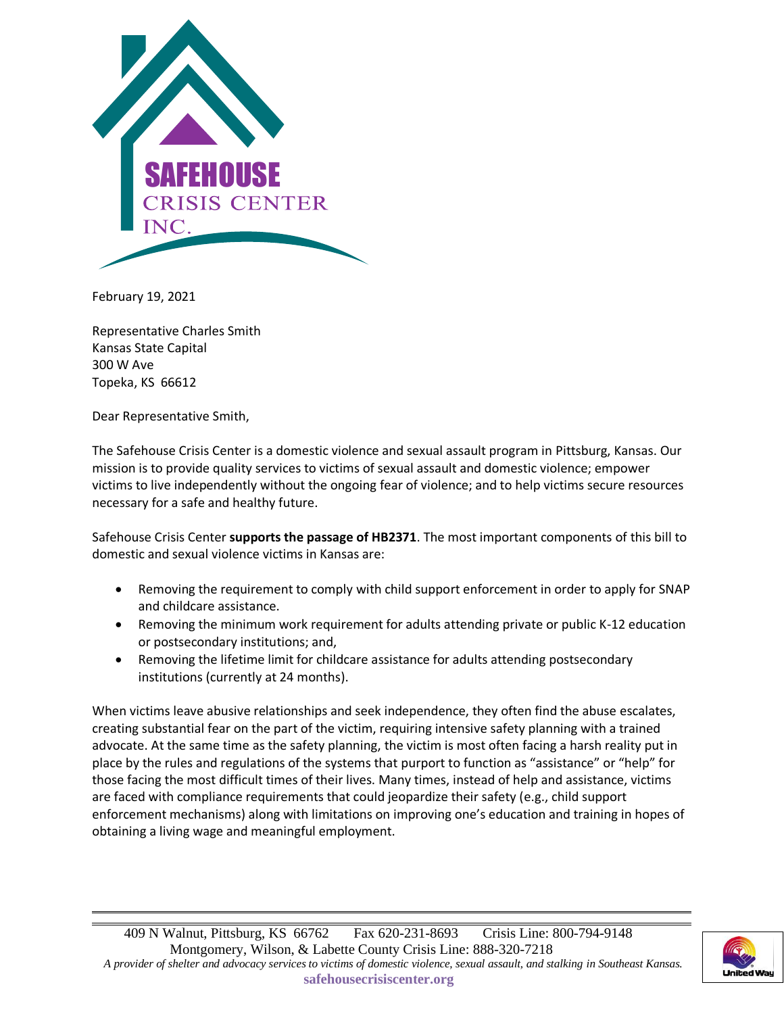

February 19, 2021

Representative Charles Smith Kansas State Capital 300 W Ave Topeka, KS 66612

Dear Representative Smith,

The Safehouse Crisis Center is a domestic violence and sexual assault program in Pittsburg, Kansas. Our mission is to provide quality services to victims of sexual assault and domestic violence; empower victims to live independently without the ongoing fear of violence; and to help victims secure resources necessary for a safe and healthy future.

Safehouse Crisis Center **supports the passage of HB2371**. The most important components of this bill to domestic and sexual violence victims in Kansas are:

- Removing the requirement to comply with child support enforcement in order to apply for SNAP and childcare assistance.
- Removing the minimum work requirement for adults attending private or public K-12 education or postsecondary institutions; and,
- Removing the lifetime limit for childcare assistance for adults attending postsecondary institutions (currently at 24 months).

When victims leave abusive relationships and seek independence, they often find the abuse escalates, creating substantial fear on the part of the victim, requiring intensive safety planning with a trained advocate. At the same time as the safety planning, the victim is most often facing a harsh reality put in place by the rules and regulations of the systems that purport to function as "assistance" or "help" for those facing the most difficult times of their lives. Many times, instead of help and assistance, victims are faced with compliance requirements that could jeopardize their safety (e.g., child support enforcement mechanisms) along with limitations on improving one's education and training in hopes of obtaining a living wage and meaningful employment.